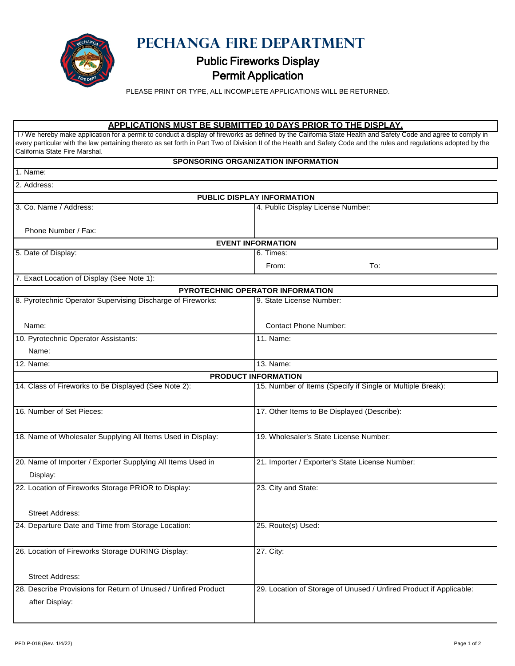

 $\mathbb{F}$ 

**PECHANGA FIRE DEPARTMENT** 

## Public Fireworks Display Permit Application

PLEASE PRINT OR TYPE, ALL INCOMPLETE APPLICATIONS WILL BE RETURNED.

## **APPLICATIONS MUST BE SUBMITTED 10 DAYS PRIOR TO THE DISPLAY.**

| I / We hereby make application for a permit to conduct a display of fireworks as defined by the California State Health and Safety Code and agree to comply in<br>every particular with the law pertaining thereto as set forth in Part Two of Division II of the Health and Safety Code and the rules and regulations adopted by the<br>California State Fire Marshal. |                                                                    |  |  |  |
|-------------------------------------------------------------------------------------------------------------------------------------------------------------------------------------------------------------------------------------------------------------------------------------------------------------------------------------------------------------------------|--------------------------------------------------------------------|--|--|--|
|                                                                                                                                                                                                                                                                                                                                                                         | SPONSORING ORGANIZATION INFORMATION                                |  |  |  |
| 1. Name:                                                                                                                                                                                                                                                                                                                                                                |                                                                    |  |  |  |
| 2. Address:                                                                                                                                                                                                                                                                                                                                                             |                                                                    |  |  |  |
|                                                                                                                                                                                                                                                                                                                                                                         | PUBLIC DISPLAY INFORMATION                                         |  |  |  |
| 3. Co. Name / Address:                                                                                                                                                                                                                                                                                                                                                  | 4. Public Display License Number:                                  |  |  |  |
| Phone Number / Fax:                                                                                                                                                                                                                                                                                                                                                     |                                                                    |  |  |  |
| <b>EVENT INFORMATION</b>                                                                                                                                                                                                                                                                                                                                                |                                                                    |  |  |  |
| 5. Date of Display:                                                                                                                                                                                                                                                                                                                                                     | 6. Times:                                                          |  |  |  |
|                                                                                                                                                                                                                                                                                                                                                                         | To:<br>From:                                                       |  |  |  |
| 7. Exact Location of Display (See Note 1):                                                                                                                                                                                                                                                                                                                              |                                                                    |  |  |  |
|                                                                                                                                                                                                                                                                                                                                                                         | PYROTECHNIC OPERATOR INFORMATION                                   |  |  |  |
| 8. Pyrotechnic Operator Supervising Discharge of Fireworks:                                                                                                                                                                                                                                                                                                             | 9. State License Number:                                           |  |  |  |
| Name:                                                                                                                                                                                                                                                                                                                                                                   | <b>Contact Phone Number:</b>                                       |  |  |  |
| 10. Pyrotechnic Operator Assistants:                                                                                                                                                                                                                                                                                                                                    | 11. Name:                                                          |  |  |  |
| Name:                                                                                                                                                                                                                                                                                                                                                                   |                                                                    |  |  |  |
| 12. Name:                                                                                                                                                                                                                                                                                                                                                               | 13. Name:                                                          |  |  |  |
|                                                                                                                                                                                                                                                                                                                                                                         | <b>PRODUCT INFORMATION</b>                                         |  |  |  |
| 14. Class of Fireworks to Be Displayed (See Note 2):                                                                                                                                                                                                                                                                                                                    | 15. Number of Items (Specify if Single or Multiple Break):         |  |  |  |
| 16. Number of Set Pieces:                                                                                                                                                                                                                                                                                                                                               | 17. Other Items to Be Displayed (Describe):                        |  |  |  |
| 18. Name of Wholesaler Supplying All Items Used in Display:                                                                                                                                                                                                                                                                                                             | 19. Wholesaler's State License Number:                             |  |  |  |
| 20. Name of Importer / Exporter Supplying All Items Used in<br>Display:                                                                                                                                                                                                                                                                                                 | 21. Importer / Exporter's State License Number:                    |  |  |  |
| 22. Location of Fireworks Storage PRIOR to Display:                                                                                                                                                                                                                                                                                                                     | 23. City and State:                                                |  |  |  |
| <b>Street Address:</b>                                                                                                                                                                                                                                                                                                                                                  |                                                                    |  |  |  |
| 24. Departure Date and Time from Storage Location:                                                                                                                                                                                                                                                                                                                      | 25. Route(s) Used:                                                 |  |  |  |
| 26. Location of Fireworks Storage DURING Display:                                                                                                                                                                                                                                                                                                                       | 27. City:                                                          |  |  |  |
| <b>Street Address:</b>                                                                                                                                                                                                                                                                                                                                                  |                                                                    |  |  |  |
| 28. Describe Provisions for Return of Unused / Unfired Product<br>after Display:                                                                                                                                                                                                                                                                                        | 29. Location of Storage of Unused / Unfired Product if Applicable: |  |  |  |